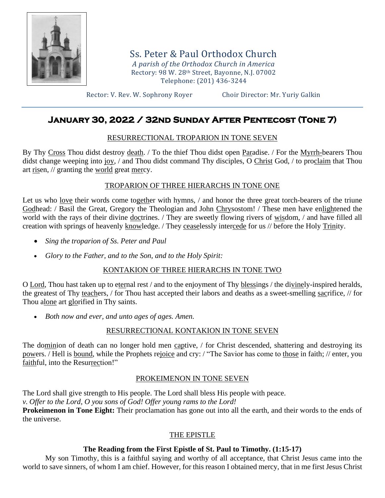

Ss. Peter & Paul Orthodox Church *A parish of the Orthodox Church in America* Rectory: 98 W. 28th Street, Bayonne, N.J. 07002 Telephone: (201) 436-3244

Rector: V. Rev. W. Sophrony Royer Choir Director: Mr. Yuriy Galkin

# **January 30, 2022 / 32nd Sunday After Pentecost (Tone 7)**

## RESURRECTIONAL TROPARION IN TONE SEVEN

By Thy Cross Thou didst destroy death. / To the thief Thou didst open Paradise. / For the Myrrh-bearers Thou didst change weeping into joy, / and Thou didst command Thy disciples, O Christ God, / to proclaim that Thou art risen, // granting the world great mercy.

## TROPARION OF THREE HIERARCHS IN TONE ONE

Let us who <u>love</u> their words come together with hymns, / and honor the three great torch-bearers of the triune Godhead: / Basil the Great, Gregory the Theologian and John Chrysostom! / These men have enlightened the world with the rays of their divine doctrines. / They are sweetly flowing rivers of wisdom, / and have filled all creation with springs of heavenly knowledge. / They ceaselessly intercede for us // before the Holy Trinity.

- *Sing the troparion of Ss. Peter and Paul*
- *Glory to the Father, and to the Son, and to the Holy Spirit:*

# KONTAKION OF THREE HIERARCHS IN TONE TWO

O Lord, Thou hast taken up to eternal rest / and to the enjoyment of Thy blessings / the divinely-inspired heralds, the greatest of Thy teachers, / for Thou hast accepted their labors and deaths as a sweet-smelling sacrifice, // for Thou alone art glorified in Thy saints.

• *Both now and ever, and unto ages of ages. Amen.*

# RESURRECTIONAL KONTAKION IN TONE SEVEN

The dominion of death can no longer hold men captive, / for Christ descended, shattering and destroying its powers. / Hell is bound, while the Prophets rejoice and cry: / "The Savior has come to those in faith; // enter, you faithful, into the Resurrection!"

# PROKEIMENON IN TONE SEVEN

The Lord shall give strength to His people. The Lord shall bless His people with peace. *v. Offer to the Lord, O you sons of God! Offer young rams to the Lord!* **Prokeimenon in Tone Eight:** Their proclamation has gone out into all the earth, and their words to the ends of the universe.

## THE EPISTLE

# **The Reading from the First Epistle of St. Paul to Timothy. (1:15-17)**

My son Timothy, this is a faithful saying and worthy of all acceptance, that Christ Jesus came into the world to save sinners, of whom I am chief. However, for this reason I obtained mercy, that in me first Jesus Christ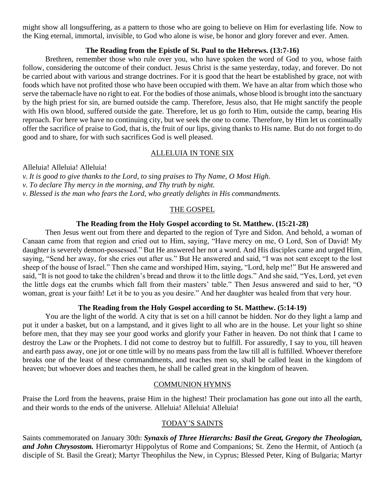might show all longsuffering, as a pattern to those who are going to believe on Him for everlasting life. Now to the King eternal, immortal, invisible, to God who alone is wise, be honor and glory forever and ever. Amen.

#### **The Reading from the Epistle of St. Paul to the Hebrews. (13:7-16)**

Brethren, remember those who rule over you, who have spoken the word of God to you, whose faith follow, considering the outcome of their conduct. Jesus Christ is the same yesterday, today, and forever. Do not be carried about with various and strange doctrines. For it is good that the heart be established by grace, not with foods which have not profited those who have been occupied with them. We have an altar from which those who serve the tabernacle have no right to eat. For the bodies of those animals, whose blood is brought into the sanctuary by the high priest for sin, are burned outside the camp. Therefore, Jesus also, that He might sanctify the people with His own blood, suffered outside the gate. Therefore, let us go forth to Him, outside the camp, bearing His reproach. For here we have no continuing city, but we seek the one to come. Therefore, by Him let us continually offer the sacrifice of praise to God, that is, the fruit of our lips, giving thanks to His name. But do not forget to do good and to share, for with such sacrifices God is well pleased.

#### ALLELUIA IN TONE SIX

Alleluia! Alleluia! Alleluia!

- *v. It is good to give thanks to the Lord, to sing praises to Thy Name, O Most High.*
- *v. To declare Thy mercy in the morning, and Thy truth by night.*
- *v. Blessed is the man who fears the Lord, who greatly delights in His commandments.*

### THE GOSPEL

#### **The Reading from the Holy Gospel according to St. Matthew. (15:21-28)**

Then Jesus went out from there and departed to the region of Tyre and Sidon. And behold, a woman of Canaan came from that region and cried out to Him, saying, "Have mercy on me, O Lord, Son of David! My daughter is severely demon-possessed." But He answered her not a word. And His disciples came and urged Him, saying, "Send her away, for she cries out after us." But He answered and said, "I was not sent except to the lost sheep of the house of Israel." Then she came and worshiped Him, saying, "Lord, help me!" But He answered and said, "It is not good to take the children's bread and throw it to the little dogs." And she said, "Yes, Lord, yet even the little dogs eat the crumbs which fall from their masters' table." Then Jesus answered and said to her, "O woman, great is your faith! Let it be to you as you desire." And her daughter was healed from that very hour.

#### **The Reading from the Holy Gospel according to St. Matthew. (5:14-19)**

You are the light of the world. A city that is set on a hill cannot be hidden. Nor do they light a lamp and put it under a basket, but on a lampstand, and it gives light to all who are in the house. Let your light so shine before men, that they may see your good works and glorify your Father in heaven. Do not think that I came to destroy the Law or the Prophets. I did not come to destroy but to fulfill. For assuredly, I say to you, till heaven and earth pass away, one jot or one tittle will by no means pass from the law till all is fulfilled. Whoever therefore breaks one of the least of these commandments, and teaches men so, shall be called least in the kingdom of heaven; but whoever does and teaches them, he shall be called great in the kingdom of heaven.

#### COMMUNION HYMNS

Praise the Lord from the heavens, praise Him in the highest! Their proclamation has gone out into all the earth, and their words to the ends of the universe. Alleluia! Alleluia! Alleluia!

#### TODAY'S SAINTS

Saints commemorated on January 30th: *Synaxis of Three Hierarchs: Basil the Great, Gregory the Theologian, and John Chrysostom.* Hieromartyr Hippolytus of Rome and Companions; St. Zeno the Hermit, of Antioch (a disciple of St. Basil the Great); Martyr Theophilus the New, in Cyprus; Blessed Peter, King of Bulgaria; Martyr